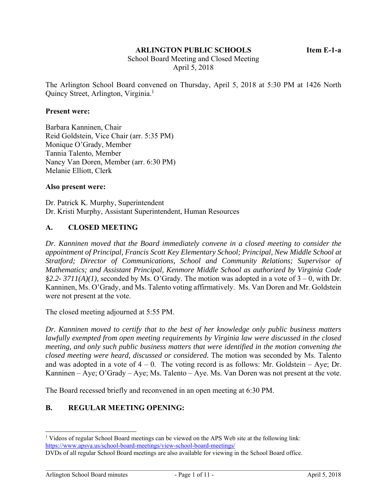#### **ARLINGTON PUBLIC SCHOOLS Item E-1-a**

 School Board Meeting and Closed Meeting April 5, 2018

The Arlington School Board convened on Thursday, April 5, 2018 at 5:30 PM at 1426 North Quincy Street, Arlington, Virginia.<sup>1</sup>

#### **Present were:**

Barbara Kanninen, Chair Reid Goldstein, Vice Chair (arr. 5:35 PM) Monique O'Grady, Member Tannia Talento, Member Nancy Van Doren, Member (arr. 6:30 PM) Melanie Elliott, Clerk

#### **Also present were:**

Dr. Patrick K. Murphy, Superintendent Dr. Kristi Murphy, Assistant Superintendent, Human Resources

#### **A. CLOSED MEETING**

*Dr. Kanninen moved that the Board immediately convene in a closed meeting to consider the appointment of Principal, Francis Scott Key Elementary School; Principal, New Middle School at Stratford; Director of Communications, School and Community Relations; Supervisor of Mathematics; and Assistant Principal, Kenmore Middle School as authorized by Virginia Code §2.2- 3711(A)(1),* seconded by Ms. O'Grady. The motion was adopted in a vote of 3 – 0, with Dr. Kanninen, Ms. O'Grady, and Ms. Talento voting affirmatively. Ms. Van Doren and Mr. Goldstein were not present at the vote.

The closed meeting adjourned at 5:55 PM.

*Dr. Kanninen moved to certify that to the best of her knowledge only public business matters lawfully exempted from open meeting requirements by Virginia law were discussed in the closed meeting, and only such public business matters that were identified in the motion convening the closed meeting were heard, discussed or considered.* The motion was seconded by Ms. Talento and was adopted in a vote of  $4 - 0$ . The voting record is as follows: Mr. Goldstein – Aye; Dr. Kanninen – Aye; O'Grady – Aye; Ms. Talento – Aye. Ms. Van Doren was not present at the vote.

The Board recessed briefly and reconvened in an open meeting at 6:30 PM.

#### **B. REGULAR MEETING OPENING:**

l <sup>1</sup> Videos of regular School Board meetings can be viewed on the APS Web site at the following link: https://www.apsva.us/school-board-meetings/view-school-board-meetings/

DVDs of all regular School Board meetings are also available for viewing in the School Board office.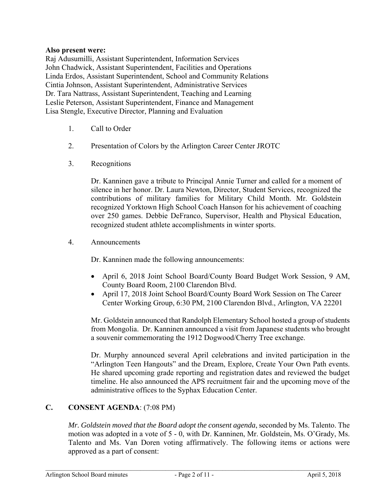### **Also present were:**

Raj Adusumilli, Assistant Superintendent, Information Services John Chadwick, Assistant Superintendent, Facilities and Operations Linda Erdos, Assistant Superintendent, School and Community Relations Cintia Johnson, Assistant Superintendent, Administrative Services Dr. Tara Nattrass, Assistant Superintendent, Teaching and Learning Leslie Peterson, Assistant Superintendent, Finance and Management Lisa Stengle, Executive Director, Planning and Evaluation

- 1. Call to Order
- 2. Presentation of Colors by the Arlington Career Center JROTC
- 3. Recognitions

Dr. Kanninen gave a tribute to Principal Annie Turner and called for a moment of silence in her honor. Dr. Laura Newton, Director, Student Services, recognized the contributions of military families for Military Child Month. Mr. Goldstein recognized Yorktown High School Coach Hanson for his achievement of coaching over 250 games. Debbie DeFranco, Supervisor, Health and Physical Education, recognized student athlete accomplishments in winter sports.

4. Announcements

Dr. Kanninen made the following announcements:

- April 6, 2018 Joint School Board/County Board Budget Work Session, 9 AM, County Board Room, 2100 Clarendon Blvd.
- April 17, 2018 Joint School Board/County Board Work Session on The Career Center Working Group, 6:30 PM, 2100 Clarendon Blvd., Arlington, VA 22201

Mr. Goldstein announced that Randolph Elementary School hosted a group of students from Mongolia. Dr. Kanninen announced a visit from Japanese students who brought a souvenir commemorating the 1912 Dogwood/Cherry Tree exchange.

Dr. Murphy announced several April celebrations and invited participation in the "Arlington Teen Hangouts" and the Dream, Explore, Create Your Own Path events. He shared upcoming grade reporting and registration dates and reviewed the budget timeline. He also announced the APS recruitment fair and the upcoming move of the administrative offices to the Syphax Education Center.

## **C. CONSENT AGENDA**: (7:08 PM)

*Mr. Goldstein moved that the Board adopt the consent agenda*, seconded by Ms. Talento. The motion was adopted in a vote of 5 - 0, with Dr. Kanninen, Mr. Goldstein, Ms. O'Grady, Ms. Talento and Ms. Van Doren voting affirmatively. The following items or actions were approved as a part of consent: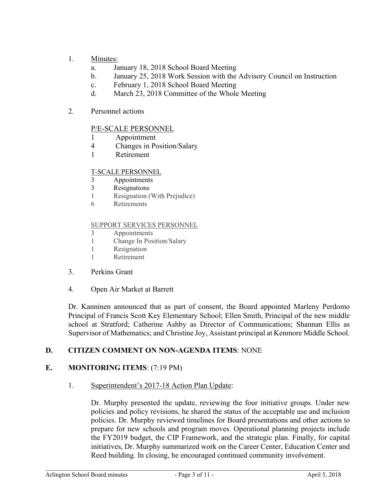## 1. Minutes:

- a. January 18, 2018 School Board Meeting
- b. January 25, 2018 Work Session with the Advisory Council on Instruction
- c. February 1, 2018 School Board Meeting
- d. March 23, 2018 Committee of the Whole Meeting
- 2. Personnel actions

## P/E-SCALE PERSONNEL

- 1 Appointment
- 4 Changes in Position/Salary
- 1 Retirement

### T-SCALE PERSONNEL

- 3 Appointments
- 3 Resignations
- 1 Resignation (With Prejudice)
- 6 Retirements

#### SUPPORT SERVICES PERSONNEL

- 3 Appointments
- 1 Change In Position/Salary
- 1 Resignation
- 1 Retirement
- 3. Perkins Grant
- 4. Open Air Market at Barrett

Dr. Kanninen announced that as part of consent, the Board appointed Marleny Perdomo Principal of Francis Scott Key Elementary School; Ellen Smith, Principal of the new middle school at Stratford; Catherine Ashby as Director of Communications; Shannan Ellis as Supervisor of Mathematics; and Christine Joy, Assistant principal at Kenmore Middle School.

## **D. CITIZEN COMMENT ON NON-AGENDA ITEMS**: NONE

## **E. MONITORING ITEMS**: (7:19 PM)

1. Superintendent's 2017-18 Action Plan Update:

Dr. Murphy presented the update, reviewing the four initiative groups. Under new policies and policy revisions, he shared the status of the acceptable use and inclusion policies. Dr. Murphy reviewed timelines for Board presentations and other actions to prepare for new schools and program moves. Operational planning projects include the FY2019 budget, the CIP Framework, and the strategic plan. Finally, for capital initiatives, Dr. Murphy summarized work on the Career Center, Education Center and Reed building. In closing, he encouraged continued community involvement.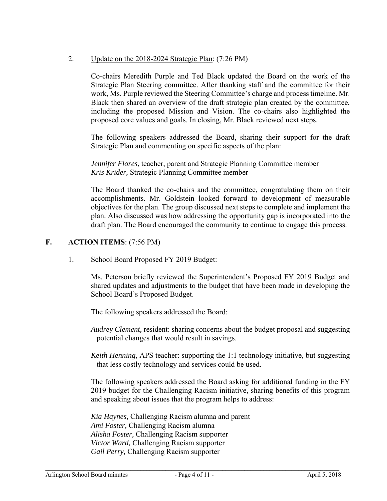## 2. Update on the 2018-2024 Strategic Plan: (7:26 PM)

Co-chairs Meredith Purple and Ted Black updated the Board on the work of the Strategic Plan Steering committee. After thanking staff and the committee for their work, Ms. Purple reviewed the Steering Committee's charge and process timeline. Mr. Black then shared an overview of the draft strategic plan created by the committee, including the proposed Mission and Vision. The co-chairs also highlighted the proposed core values and goals. In closing, Mr. Black reviewed next steps.

The following speakers addressed the Board, sharing their support for the draft Strategic Plan and commenting on specific aspects of the plan:

*Jennifer Flores*, teacher, parent and Strategic Planning Committee member *Kris Krider,* Strategic Planning Committee member

The Board thanked the co-chairs and the committee, congratulating them on their accomplishments. Mr. Goldstein looked forward to development of measurable objectives for the plan. The group discussed next steps to complete and implement the plan. Also discussed was how addressing the opportunity gap is incorporated into the draft plan. The Board encouraged the community to continue to engage this process.

## **F. ACTION ITEMS**: (7:56 PM)

## 1. School Board Proposed FY 2019 Budget:

Ms. Peterson briefly reviewed the Superintendent's Proposed FY 2019 Budget and shared updates and adjustments to the budget that have been made in developing the School Board's Proposed Budget.

The following speakers addressed the Board:

*Audrey Clement,* resident: sharing concerns about the budget proposal and suggesting potential changes that would result in savings.

*Keith Henning,* APS teacher: supporting the 1:1 technology initiative, but suggesting that less costly technology and services could be used.

The following speakers addressed the Board asking for additional funding in the FY 2019 budget for the Challenging Racism initiative, sharing benefits of this program and speaking about issues that the program helps to address:

*Kia Haynes,* Challenging Racism alumna and parent *Ami Foster,* Challenging Racism alumna *Alisha Foster,* Challenging Racism supporter *Victor Ward,* Challenging Racism supporter *Gail Perry,* Challenging Racism supporter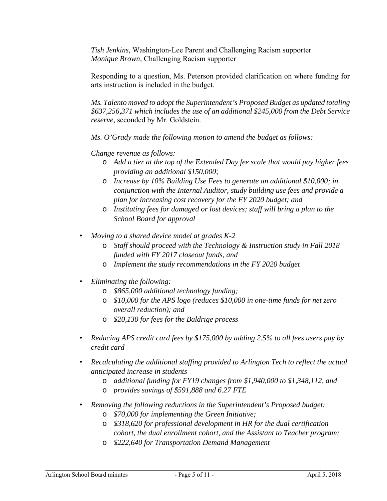*Tish Jenkins,* Washington-Lee Parent and Challenging Racism supporter *Monique Brown,* Challenging Racism supporter

Responding to a question, Ms. Peterson provided clarification on where funding for arts instruction is included in the budget.

*Ms. Talento moved to adopt the Superintendent's Proposed Budget as updated totaling \$637,256,371 which includes the use of an additional \$245,000 from the Debt Service reserve,* seconded by Mr. Goldstein.

*Ms. O'Grady made the following motion to amend the budget as follows:* 

*Change revenue as follows:* 

- o *Add a tier at the top of the Extended Day fee scale that would pay higher fees providing an additional \$150,000;*
- o *Increase by 10% Building Use Fees to generate an additional \$10,000; in conjunction with the Internal Auditor, study building use fees and provide a plan for increasing cost recovery for the FY 2020 budget; and*
- o *Instituting fees for damaged or lost devices; staff will bring a plan to the School Board for approval*
- *Moving to a shared device model at grades K-2* 
	- o *Staff should proceed with the Technology & Instruction study in Fall 2018 funded with FY 2017 closeout funds, and*
	- o *Implement the study recommendations in the FY 2020 budget*
- *Eliminating the following:* 
	- o *\$865,000 additional technology funding;*
	- o *\$10,000 for the APS logo (reduces \$10,000 in one-time funds for net zero overall reduction); and*
	- o *\$20,130 for fees for the Baldrige process*
- *Reducing APS credit card fees by \$175,000 by adding 2.5% to all fees users pay by credit card*
- *Recalculating the additional staffing provided to Arlington Tech to reflect the actual anticipated increase in students* 
	- o *additional funding for FY19 changes from \$1,940,000 to \$1,348,112, and*
	- o *provides savings of \$591,888 and 6.27 FTE*
- *Removing the following reductions in the Superintendent's Proposed budget:* 
	- o *\$70,000 for implementing the Green Initiative;*
	- o *\$318,620 for professional development in HR for the dual certification cohort, the dual enrollment cohort, and the Assistant to Teacher program;*
	- o *\$222,640 for Transportation Demand Management*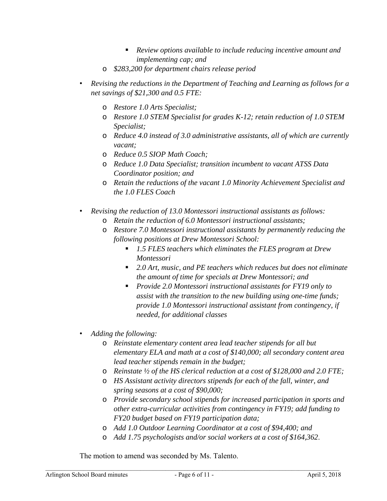- *Review options available to include reducing incentive amount and implementing cap; and*
- o *\$283,200 for department chairs release period*
- *Revising the reductions in the Department of Teaching and Learning as follows for a net savings of \$21,300 and 0.5 FTE:* 
	- o *Restore 1.0 Arts Specialist;*
	- o *Restore 1.0 STEM Specialist for grades K-12; retain reduction of 1.0 STEM Specialist;*
	- o *Reduce 4.0 instead of 3.0 administrative assistants, all of which are currently vacant;*
	- o *Reduce 0.5 SIOP Math Coach;*
	- o *Reduce 1.0 Data Specialist; transition incumbent to vacant ATSS Data Coordinator position; and*
	- o *Retain the reductions of the vacant 1.0 Minority Achievement Specialist and the 1.0 FLES Coach*
- *Revising the reduction of 13.0 Montessori instructional assistants as follows:* 
	- o *Retain the reduction of 6.0 Montessori instructional assistants;*
	- o *Restore 7.0 Montessori instructional assistants by permanently reducing the following positions at Drew Montessori School:* 
		- *1.5 FLES teachers which eliminates the FLES program at Drew Montessori*
		- *2.0 Art, music, and PE teachers which reduces but does not eliminate the amount of time for specials at Drew Montessori; and*
		- *Provide 2.0 Montessori instructional assistants for FY19 only to assist with the transition to the new building using one-time funds; provide 1.0 Montessori instructional assistant from contingency, if needed, for additional classes*
- *Adding the following:* 
	- o *Reinstate elementary content area lead teacher stipends for all but elementary ELA and math at a cost of \$140,000; all secondary content area lead teacher stipends remain in the budget;*
	- o *Reinstate ½ of the HS clerical reduction at a cost of \$128,000 and 2.0 FTE;*
	- o *HS Assistant activity directors stipends for each of the fall, winter, and spring seasons at a cost of \$90,000;*
	- o *Provide secondary school stipends for increased participation in sports and other extra-curricular activities from contingency in FY19; add funding to FY20 budget based on FY19 participation data;*
	- o *Add 1.0 Outdoor Learning Coordinator at a cost of \$94,400; and*
	- o *Add 1.75 psychologists and/or social workers at a cost of \$164,362*.

The motion to amend was seconded by Ms. Talento.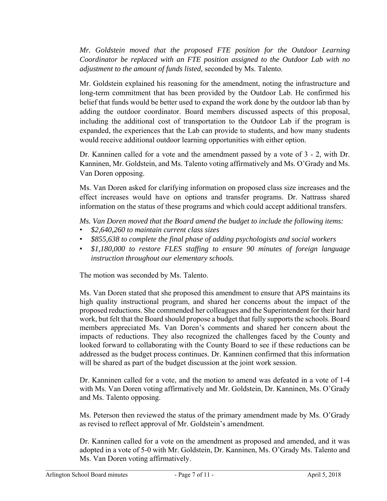*Mr. Goldstein moved that the proposed FTE position for the Outdoor Learning Coordinator be replaced with an FTE position assigned to the Outdoor Lab with no adjustment to the amount of funds listed,* seconded by Ms. Talento.

Mr. Goldstein explained his reasoning for the amendment, noting the infrastructure and long-term commitment that has been provided by the Outdoor Lab. He confirmed his belief that funds would be better used to expand the work done by the outdoor lab than by adding the outdoor coordinator. Board members discussed aspects of this proposal, including the additional cost of transportation to the Outdoor Lab if the program is expanded, the experiences that the Lab can provide to students, and how many students would receive additional outdoor learning opportunities with either option.

Dr. Kanninen called for a vote and the amendment passed by a vote of 3 - 2, with Dr. Kanninen, Mr. Goldstein, and Ms. Talento voting affirmatively and Ms. O'Grady and Ms. Van Doren opposing.

Ms. Van Doren asked for clarifying information on proposed class size increases and the effect increases would have on options and transfer programs. Dr. Nattrass shared information on the status of these programs and which could accept additional transfers.

*Ms. Van Doren moved that the Board amend the budget to include the following items:* 

- *\$2,640,260 to maintain current class sizes*
- *\$855,638 to complete the final phase of adding psychologists and social workers*
- *\$1,180,000 to restore FLES staffing to ensure 90 minutes of foreign language instruction throughout our elementary schools.*

The motion was seconded by Ms. Talento.

Ms. Van Doren stated that she proposed this amendment to ensure that APS maintains its high quality instructional program, and shared her concerns about the impact of the proposed reductions. She commended her colleagues and the Superintendent for their hard work, but felt that the Board should propose a budget that fully supports the schools. Board members appreciated Ms. Van Doren's comments and shared her concern about the impacts of reductions. They also recognized the challenges faced by the County and looked forward to collaborating with the County Board to see if these reductions can be addressed as the budget process continues. Dr. Kanninen confirmed that this information will be shared as part of the budget discussion at the joint work session.

Dr. Kanninen called for a vote, and the motion to amend was defeated in a vote of 1-4 with Ms. Van Doren voting affirmatively and Mr. Goldstein, Dr. Kanninen, Ms. O'Grady and Ms. Talento opposing.

Ms. Peterson then reviewed the status of the primary amendment made by Ms. O'Grady as revised to reflect approval of Mr. Goldstein's amendment.

Dr. Kanninen called for a vote on the amendment as proposed and amended, and it was adopted in a vote of 5-0 with Mr. Goldstein, Dr. Kanninen, Ms. O'Grady Ms. Talento and Ms. Van Doren voting affirmatively.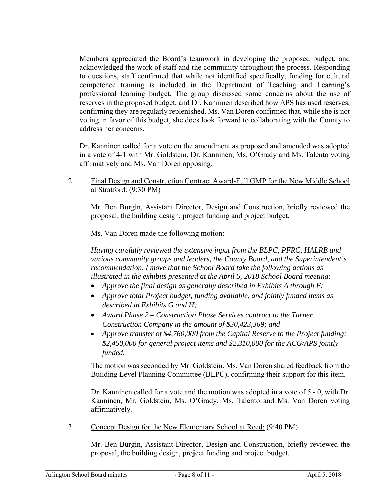Members appreciated the Board's teamwork in developing the proposed budget, and acknowledged the work of staff and the community throughout the process. Responding to questions, staff confirmed that while not identified specifically, funding for cultural competence training is included in the Department of Teaching and Learning's professional learning budget. The group discussed some concerns about the use of reserves in the proposed budget, and Dr. Kanninen described how APS has used reserves, confirming they are regularly replenished. Ms. Van Doren confirmed that, while she is not voting in favor of this budget, she does look forward to collaborating with the County to address her concerns.

Dr. Kanninen called for a vote on the amendment as proposed and amended was adopted in a vote of 4-1 with Mr. Goldstein, Dr. Kanninen, Ms. O'Grady and Ms. Talento voting affirmatively and Ms. Van Doren opposing.

2. Final Design and Construction Contract Award-Full GMP for the New Middle School at Stratford: (9:30 PM)

Mr. Ben Burgin, Assistant Director, Design and Construction, briefly reviewed the proposal, the building design, project funding and project budget.

Ms. Van Doren made the following motion:

*Having carefully reviewed the extensive input from the BLPC, PFRC, HALRB and various community groups and leaders, the County Board, and the Superintendent's recommendation, I move that the School Board take the following actions as illustrated in the exhibits presented at the April 5, 2018 School Board meeting:* 

- *Approve the final design as generally described in Exhibits A through F;*
- *Approve total Project budget, funding available, and jointly funded items as described in Exhibits G and H;*
- *Award Phase 2 Construction Phase Services contract to the Turner Construction Company in the amount of \$30,423,369; and*
- *Approve transfer of \$4,760,000 from the Capital Reserve to the Project funding; \$2,450,000 for general project items and \$2,310,000 for the ACG/APS jointly funded.*

The motion was seconded by Mr. Goldstein. Ms. Van Doren shared feedback from the Building Level Planning Committee (BLPC), confirming their support for this item.

Dr. Kanninen called for a vote and the motion was adopted in a vote of 5 - 0, with Dr. Kanninen, Mr. Goldstein, Ms. O'Grady, Ms. Talento and Ms. Van Doren voting affirmatively*.* 

3. Concept Design for the New Elementary School at Reed: (9:40 PM)

Mr. Ben Burgin, Assistant Director, Design and Construction, briefly reviewed the proposal, the building design, project funding and project budget.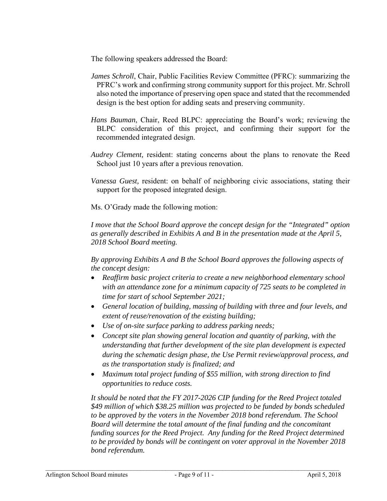The following speakers addressed the Board:

- *James Schroll*, Chair, Public Facilities Review Committee (PFRC): summarizing the PFRC's work and confirming strong community support for this project. Mr. Schroll also noted the importance of preserving open space and stated that the recommended design is the best option for adding seats and preserving community.
- *Hans Bauman*, Chair, Reed BLPC: appreciating the Board's work; reviewing the BLPC consideration of this project, and confirming their support for the recommended integrated design.
- *Audrey Clement,* resident: stating concerns about the plans to renovate the Reed School just 10 years after a previous renovation.
- *Vanessa Guest,* resident: on behalf of neighboring civic associations, stating their support for the proposed integrated design.

Ms. O'Grady made the following motion:

*I move that the School Board approve the concept design for the "Integrated" option as generally described in Exhibits A and B in the presentation made at the April 5, 2018 School Board meeting.* 

*By approving Exhibits A and B the School Board approves the following aspects of the concept design:* 

- *Reaffirm basic project criteria to create a new neighborhood elementary school with an attendance zone for a minimum capacity of 725 seats to be completed in time for start of school September 2021;*
- *General location of building, massing of building with three and four levels, and extent of reuse/renovation of the existing building;*
- *Use of on-site surface parking to address parking needs;*
- *Concept site plan showing general location and quantity of parking, with the understanding that further development of the site plan development is expected during the schematic design phase, the Use Permit review/approval process, and as the transportation study is finalized; and*
- *Maximum total project funding of \$55 million, with strong direction to find opportunities to reduce costs.*

*It should be noted that the FY 2017-2026 CIP funding for the Reed Project totaled \$49 million of which \$38.25 million was projected to be funded by bonds scheduled to be approved by the voters in the November 2018 bond referendum. The School Board will determine the total amount of the final funding and the concomitant funding sources for the Reed Project. Any funding for the Reed Project determined to be provided by bonds will be contingent on voter approval in the November 2018 bond referendum.*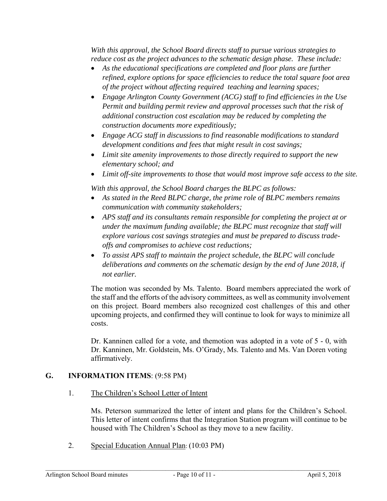*With this approval, the School Board directs staff to pursue various strategies to reduce cost as the project advances to the schematic design phase. These include:* 

- *As the educational specifications are completed and floor plans are further refined, explore options for space efficiencies to reduce the total square foot area of the project without affecting required teaching and learning spaces;*
- *Engage Arlington County Government (ACG) staff to find efficiencies in the Use Permit and building permit review and approval processes such that the risk of additional construction cost escalation may be reduced by completing the construction documents more expeditiously;*
- *Engage ACG staff in discussions to find reasonable modifications to standard development conditions and fees that might result in cost savings;*
- *Limit site amenity improvements to those directly required to support the new elementary school; and*
- *Limit off-site improvements to those that would most improve safe access to the site.*

*With this approval, the School Board charges the BLPC as follows:* 

- *As stated in the Reed BLPC charge, the prime role of BLPC members remains communication with community stakeholders;*
- *APS staff and its consultants remain responsible for completing the project at or under the maximum funding available; the BLPC must recognize that staff will explore various cost savings strategies and must be prepared to discuss tradeoffs and compromises to achieve cost reductions;*
- *To assist APS staff to maintain the project schedule, the BLPC will conclude deliberations and comments on the schematic design by the end of June 2018, if not earlier.*

The motion was seconded by Ms. Talento. Board members appreciated the work of the staff and the efforts of the advisory committees, as well as community involvement on this project. Board members also recognized cost challenges of this and other upcoming projects, and confirmed they will continue to look for ways to minimize all costs.

Dr. Kanninen called for a vote, and themotion was adopted in a vote of 5 - 0, with Dr. Kanninen, Mr. Goldstein, Ms. O'Grady, Ms. Talento and Ms. Van Doren voting affirmatively.

# **G. INFORMATION ITEMS**: (9:58 PM)

1. The Children's School Letter of Intent

Ms. Peterson summarized the letter of intent and plans for the Children's School. This letter of intent confirms that the Integration Station program will continue to be housed with The Children's School as they move to a new facility.

2. Special Education Annual Plan: (10:03 PM)